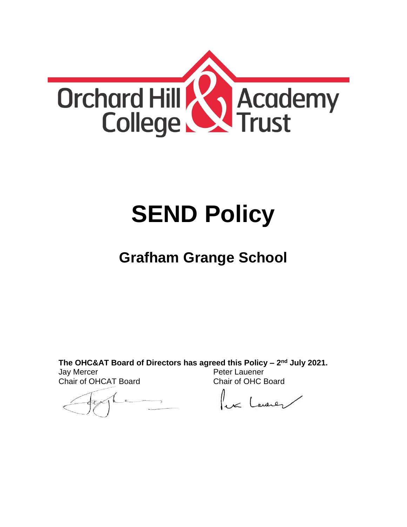

# **SEND Policy**

## **Grafham Grange School**

**The OHC&AT Board of Directors has agreed this Policy – 2 nd July 2021.** Jay Mercer Chair of OHCAT Board Peter Lauener Chair of OHC Board

lex Lawren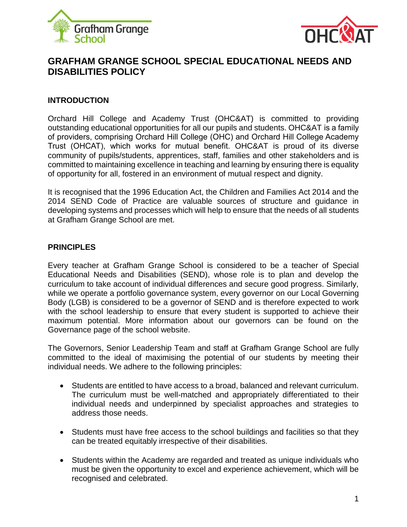



### **GRAFHAM GRANGE SCHOOL SPECIAL EDUCATIONAL NEEDS AND DISABILITIES POLICY**

#### **INTRODUCTION**

Orchard Hill College and Academy Trust (OHC&AT) is committed to providing outstanding educational opportunities for all our pupils and students. OHC&AT is a family of providers, comprising Orchard Hill College (OHC) and Orchard Hill College Academy Trust (OHCAT), which works for mutual benefit. OHC&AT is proud of its diverse community of pupils/students, apprentices, staff, families and other stakeholders and is committed to maintaining excellence in teaching and learning by ensuring there is equality of opportunity for all, fostered in an environment of mutual respect and dignity.

It is recognised that the 1996 Education Act, the Children and Families Act 2014 and the 2014 SEND Code of Practice are valuable sources of structure and guidance in developing systems and processes which will help to ensure that the needs of all students at Grafham Grange School are met.

#### **PRINCIPLES**

Every teacher at Grafham Grange School is considered to be a teacher of Special Educational Needs and Disabilities (SEND), whose role is to plan and develop the curriculum to take account of individual differences and secure good progress. Similarly, while we operate a portfolio governance system, every governor on our Local Governing Body (LGB) is considered to be a governor of SEND and is therefore expected to work with the school leadership to ensure that every student is supported to achieve their maximum potential. More information about our governors can be found on the Governance page of the school website.

The Governors, Senior Leadership Team and staff at Grafham Grange School are fully committed to the ideal of maximising the potential of our students by meeting their individual needs. We adhere to the following principles:

- Students are entitled to have access to a broad, balanced and relevant curriculum. The curriculum must be well-matched and appropriately differentiated to their individual needs and underpinned by specialist approaches and strategies to address those needs.
- Students must have free access to the school buildings and facilities so that they can be treated equitably irrespective of their disabilities.
- Students within the Academy are regarded and treated as unique individuals who must be given the opportunity to excel and experience achievement, which will be recognised and celebrated.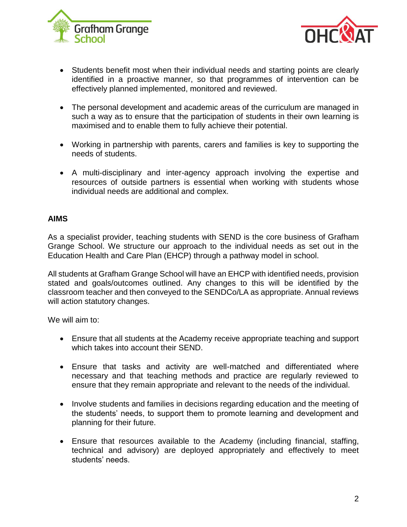



- Students benefit most when their individual needs and starting points are clearly identified in a proactive manner, so that programmes of intervention can be effectively planned implemented, monitored and reviewed.
- The personal development and academic areas of the curriculum are managed in such a way as to ensure that the participation of students in their own learning is maximised and to enable them to fully achieve their potential.
- Working in partnership with parents, carers and families is key to supporting the needs of students.
- A multi-disciplinary and inter-agency approach involving the expertise and resources of outside partners is essential when working with students whose individual needs are additional and complex.

#### **AIMS**

As a specialist provider, teaching students with SEND is the core business of Grafham Grange School. We structure our approach to the individual needs as set out in the Education Health and Care Plan (EHCP) through a pathway model in school.

All students at Grafham Grange School will have an EHCP with identified needs, provision stated and goals/outcomes outlined. Any changes to this will be identified by the classroom teacher and then conveyed to the SENDCo/LA as appropriate. Annual reviews will action statutory changes.

We will aim to:

- Ensure that all students at the Academy receive appropriate teaching and support which takes into account their SEND.
- Ensure that tasks and activity are well-matched and differentiated where necessary and that teaching methods and practice are regularly reviewed to ensure that they remain appropriate and relevant to the needs of the individual.
- Involve students and families in decisions regarding education and the meeting of the students' needs, to support them to promote learning and development and planning for their future.
- Ensure that resources available to the Academy (including financial, staffing, technical and advisory) are deployed appropriately and effectively to meet students' needs.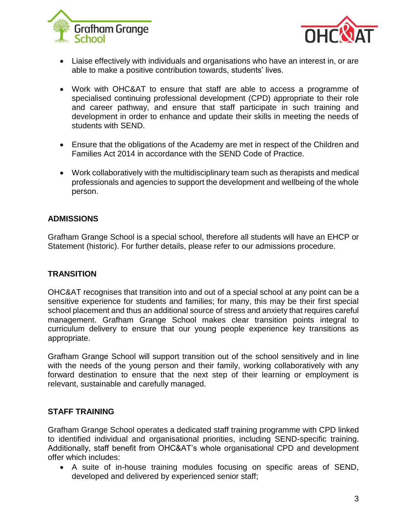



- Liaise effectively with individuals and organisations who have an interest in, or are able to make a positive contribution towards, students' lives.
- Work with OHC&AT to ensure that staff are able to access a programme of specialised continuing professional development (CPD) appropriate to their role and career pathway, and ensure that staff participate in such training and development in order to enhance and update their skills in meeting the needs of students with SEND.
- Ensure that the obligations of the Academy are met in respect of the Children and Families Act 2014 in accordance with the SEND Code of Practice.
- Work collaboratively with the multidisciplinary team such as therapists and medical professionals and agencies to support the development and wellbeing of the whole person.

#### **ADMISSIONS**

Grafham Grange School is a special school, therefore all students will have an EHCP or Statement (historic). For further details, please refer to our admissions procedure.

#### **TRANSITION**

OHC&AT recognises that transition into and out of a special school at any point can be a sensitive experience for students and families; for many, this may be their first special school placement and thus an additional source of stress and anxiety that requires careful management. Grafham Grange School makes clear transition points integral to curriculum delivery to ensure that our young people experience key transitions as appropriate.

Grafham Grange School will support transition out of the school sensitively and in line with the needs of the young person and their family, working collaboratively with any forward destination to ensure that the next step of their learning or employment is relevant, sustainable and carefully managed.

#### **STAFF TRAINING**

Grafham Grange School operates a dedicated staff training programme with CPD linked to identified individual and organisational priorities, including SEND-specific training. Additionally, staff benefit from OHC&AT's whole organisational CPD and development offer which includes:

 A suite of in-house training modules focusing on specific areas of SEND, developed and delivered by experienced senior staff;